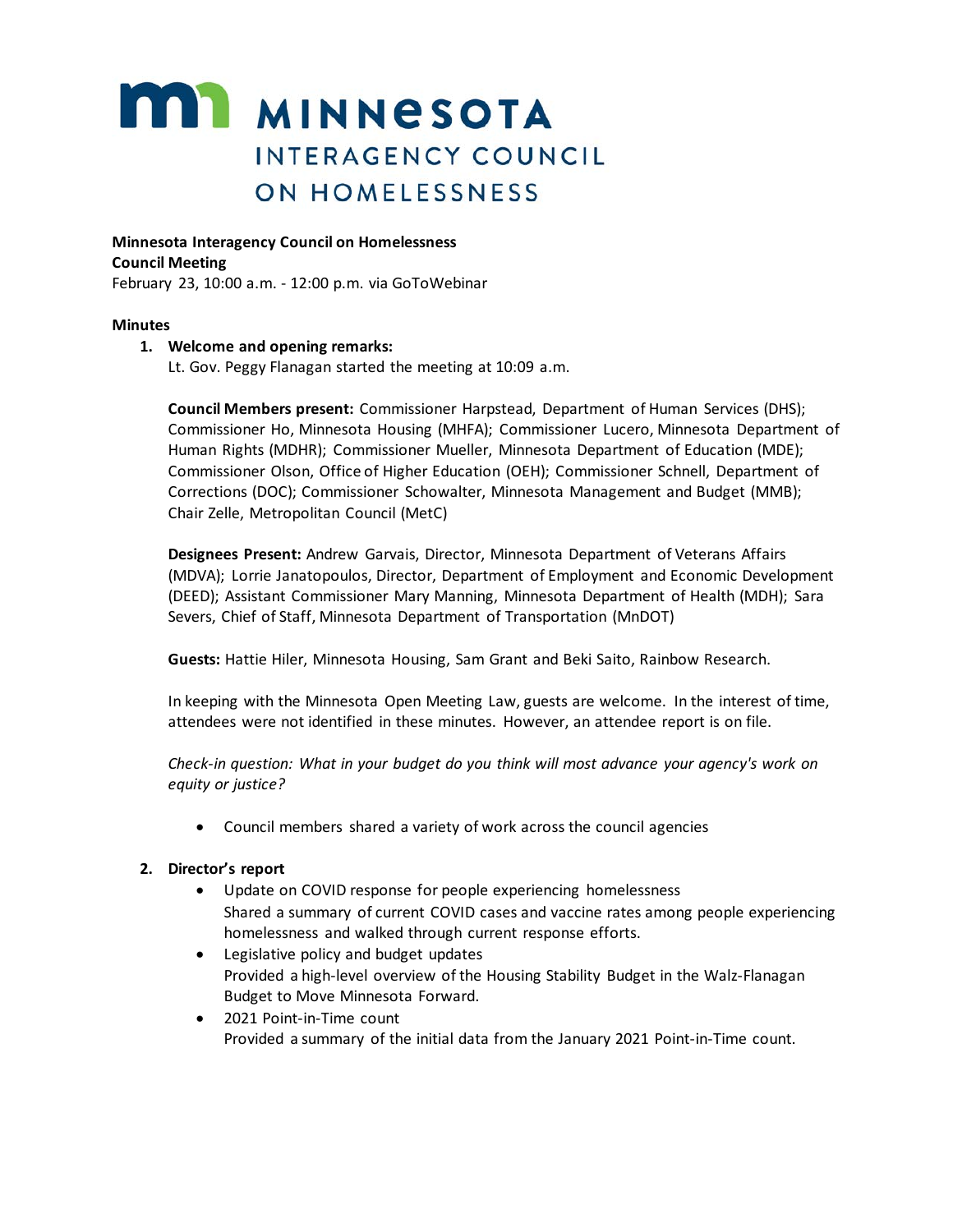# **MI MINNESOTA** INTERAGENCY COUNCIL **ON HOMELESSNESS**

**Minnesota Interagency Council on Homelessness**

**Council Meeting**

February 23, 10:00 a.m. - 12:00 p.m. via GoToWebinar

#### **Minutes**

#### **1. Welcome and opening remarks:**

Lt. Gov. Peggy Flanagan started the meeting at 10:09 a.m.

**Council Members present:** Commissioner Harpstead, Department of Human Services (DHS); Commissioner Ho, Minnesota Housing (MHFA); Commissioner Lucero, Minnesota Department of Human Rights (MDHR); Commissioner Mueller, Minnesota Department of Education (MDE); Commissioner Olson, Office of Higher Education (OEH); Commissioner Schnell, Department of Corrections (DOC); Commissioner Schowalter, Minnesota Management and Budget (MMB); Chair Zelle, Metropolitan Council (MetC)

**Designees Present:** Andrew Garvais, Director, Minnesota Department of Veterans Affairs (MDVA); Lorrie Janatopoulos, Director, Department of Employment and Economic Development (DEED); Assistant Commissioner Mary Manning, Minnesota Department of Health (MDH); Sara Severs, Chief of Staff, Minnesota Department of Transportation (MnDOT)

**Guests:** Hattie Hiler, Minnesota Housing, Sam Grant and Beki Saito, Rainbow Research.

In keeping with the Minnesota Open Meeting Law, guests are welcome. In the interest of time, attendees were not identified in these minutes. However, an attendee report is on file.

*Check-in question: What in your budget do you think will most advance your agency's work on equity or justice?*

• Council members shared a variety of work across the council agencies

#### **2. Director's report**

- Update on COVID response for people experiencing homelessness Shared a summary of current COVID cases and vaccine rates among people experiencing homelessness and walked through current response efforts.
- Legislative policy and budget updates Provided a high-level overview of the Housing Stability Budget in the Walz-Flanagan Budget to Move Minnesota Forward.
- 2021 Point-in-Time count Provided a summary of the initial data from the January 2021 Point-in-Time count.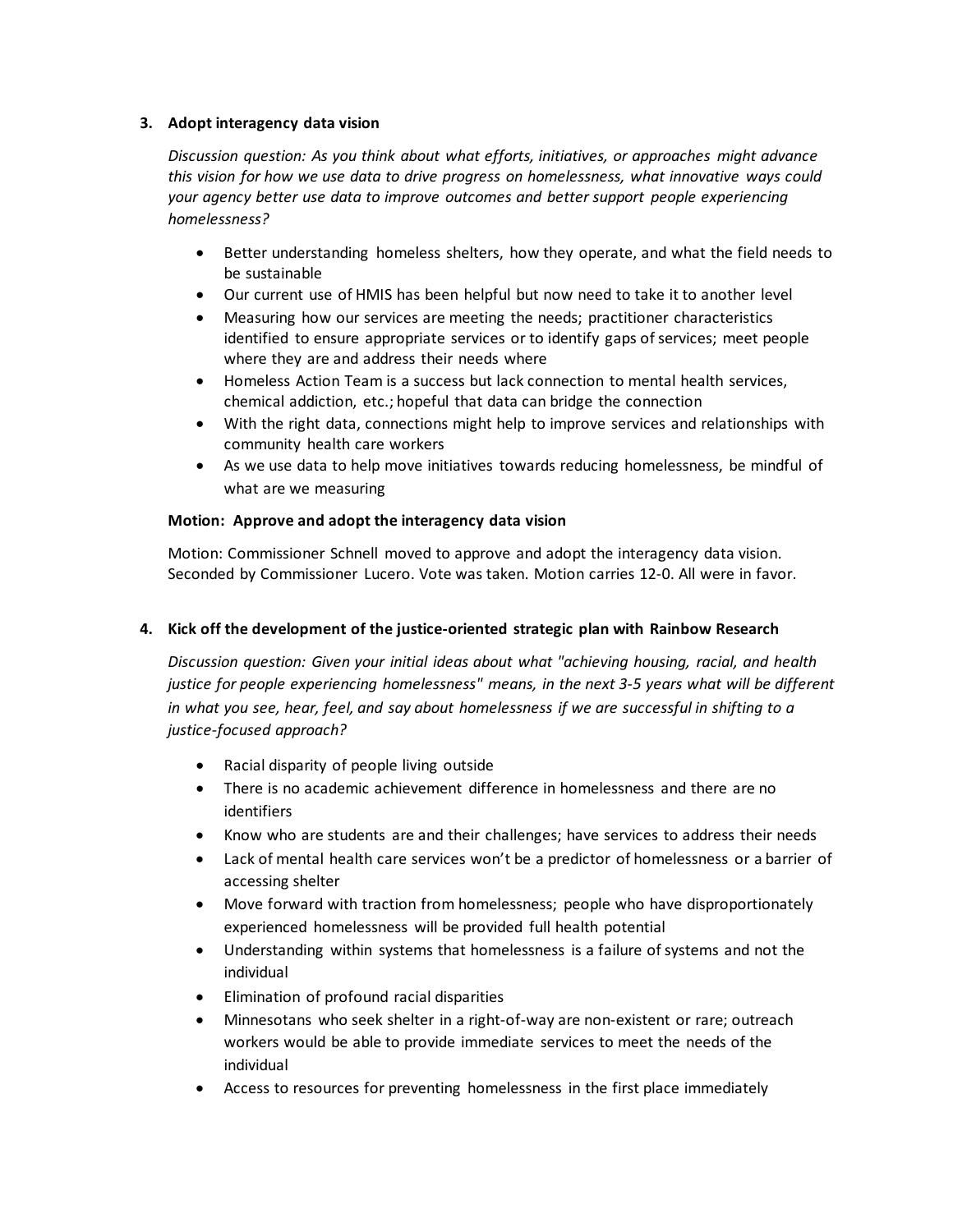#### **3. Adopt interagency data vision**

*Discussion question: As you think about what efforts, initiatives, or approaches might advance this vision for how we use data to drive progress on homelessness, what innovative ways could your agency better use data to improve outcomes and better support people experiencing homelessness?*

- Better understanding homeless shelters, how they operate, and what the field needs to be sustainable
- Our current use of HMIS has been helpful but now need to take it to another level
- Measuring how our services are meeting the needs; practitioner characteristics identified to ensure appropriate services or to identify gaps of services; meet people where they are and address their needs where
- Homeless Action Team is a success but lack connection to mental health services, chemical addiction, etc.; hopeful that data can bridge the connection
- With the right data, connections might help to improve services and relationships with community health care workers
- As we use data to help move initiatives towards reducing homelessness, be mindful of what are we measuring

### **Motion: Approve and adopt the interagency data vision**

Motion: Commissioner Schnell moved to approve and adopt the interagency data vision. Seconded by Commissioner Lucero. Vote was taken. Motion carries 12-0. All were in favor.

## **4. Kick off the development of the justice-oriented strategic plan with Rainbow Research**

*Discussion question: Given your initial ideas about what "achieving housing, racial, and health justice for people experiencing homelessness" means, in the next 3-5 years what will be different in what you see, hear, feel, and say about homelessness if we are successful in shifting to a justice-focused approach?*

- Racial disparity of people living outside
- There is no academic achievement difference in homelessness and there are no identifiers
- Know who are students are and their challenges; have services to address their needs
- Lack of mental health care services won't be a predictor of homelessness or a barrier of accessing shelter
- Move forward with traction from homelessness; people who have disproportionately experienced homelessness will be provided full health potential
- Understanding within systems that homelessness is a failure of systems and not the individual
- Elimination of profound racial disparities
- Minnesotans who seek shelter in a right-of-way are non-existent or rare; outreach workers would be able to provide immediate services to meet the needs of the individual
- Access to resources for preventing homelessness in the first place immediately